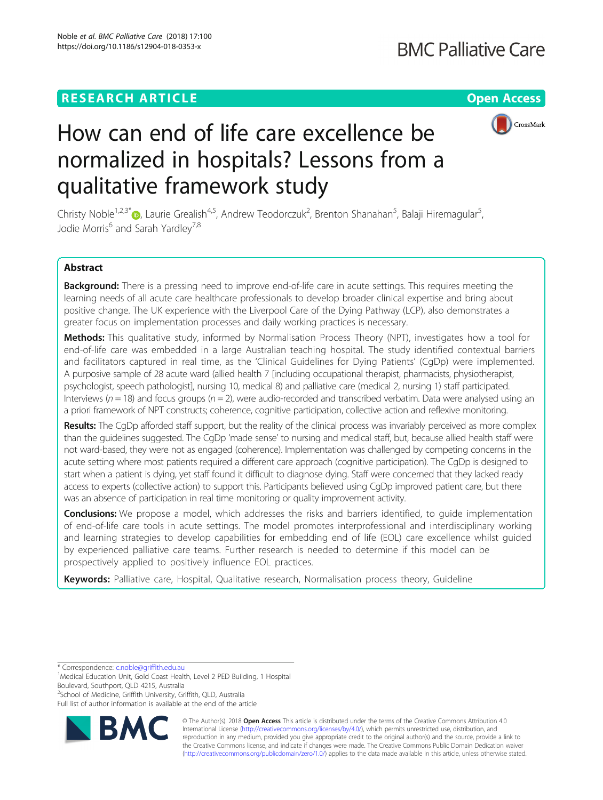# **RESEARCH ARTICLE Example 2018 12:30 THE Open Access**



# How can end of life care excellence be normalized in hospitals? Lessons from a qualitative framework study

Christy Noble<sup>1[,](http://orcid.org/0000-0001-8763-234X)2,3\*</sup>®, Laurie Grealish<sup>4,5</sup>, Andrew Teodorczuk<sup>2</sup>, Brenton Shanahan<sup>5</sup>, Balaji Hiremagular<sup>5</sup> , Jodie Morris<sup>6</sup> and Sarah Yardley<sup>7,8</sup>

# Abstract

Background: There is a pressing need to improve end-of-life care in acute settings. This requires meeting the learning needs of all acute care healthcare professionals to develop broader clinical expertise and bring about positive change. The UK experience with the Liverpool Care of the Dying Pathway (LCP), also demonstrates a greater focus on implementation processes and daily working practices is necessary.

Methods: This qualitative study, informed by Normalisation Process Theory (NPT), investigates how a tool for end-of-life care was embedded in a large Australian teaching hospital. The study identified contextual barriers and facilitators captured in real time, as the 'Clinical Guidelines for Dying Patients' (CgDp) were implemented. A purposive sample of 28 acute ward (allied health 7 [including occupational therapist, pharmacists, physiotherapist, psychologist, speech pathologist], nursing 10, medical 8) and palliative care (medical 2, nursing 1) staff participated. Interviews ( $n = 18$ ) and focus groups ( $n = 2$ ), were audio-recorded and transcribed verbatim. Data were analysed using an a priori framework of NPT constructs; coherence, cognitive participation, collective action and reflexive monitoring.

Results: The CqDp afforded staff support, but the reality of the clinical process was invariably perceived as more complex than the guidelines suggested. The CgDp 'made sense' to nursing and medical staff, but, because allied health staff were not ward-based, they were not as engaged (coherence). Implementation was challenged by competing concerns in the acute setting where most patients required a different care approach (cognitive participation). The CgDp is designed to start when a patient is dying, yet staff found it difficult to diagnose dying. Staff were concerned that they lacked ready access to experts (collective action) to support this. Participants believed using CgDp improved patient care, but there was an absence of participation in real time monitoring or quality improvement activity.

**Conclusions:** We propose a model, which addresses the risks and barriers identified, to quide implementation of end-of-life care tools in acute settings. The model promotes interprofessional and interdisciplinary working and learning strategies to develop capabilities for embedding end of life (EOL) care excellence whilst guided by experienced palliative care teams. Further research is needed to determine if this model can be prospectively applied to positively influence EOL practices.

Keywords: Palliative care, Hospital, Qualitative research, Normalisation process theory, Guideline

\* Correspondence: [c.noble@griffith.edu.au](mailto:c.noble@griffith.edu.au) <sup>1</sup>

<sup>2</sup>School of Medicine, Griffith University, Griffith, QLD, Australia Full list of author information is available at the end of the article



© The Author(s). 2018 Open Access This article is distributed under the terms of the Creative Commons Attribution 4.0 International License [\(http://creativecommons.org/licenses/by/4.0/](http://creativecommons.org/licenses/by/4.0/)), which permits unrestricted use, distribution, and reproduction in any medium, provided you give appropriate credit to the original author(s) and the source, provide a link to the Creative Commons license, and indicate if changes were made. The Creative Commons Public Domain Dedication waiver [\(http://creativecommons.org/publicdomain/zero/1.0/](http://creativecommons.org/publicdomain/zero/1.0/)) applies to the data made available in this article, unless otherwise stated.

<sup>&</sup>lt;sup>1</sup>Medical Education Unit, Gold Coast Health, Level 2 PED Building, 1 Hospital Boulevard, Southport, QLD 4215, Australia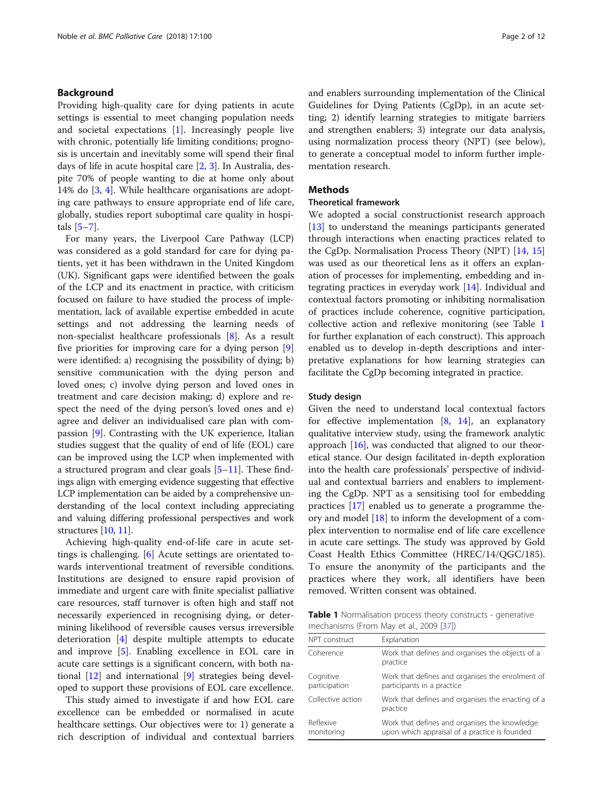# <span id="page-1-0"></span>Background

Providing high-quality care for dying patients in acute settings is essential to meet changing population needs and societal expectations [\[1](#page-11-0)]. Increasingly people live with chronic, potentially life limiting conditions; prognosis is uncertain and inevitably some will spend their final days of life in acute hospital care [[2,](#page-11-0) [3\]](#page-11-0). In Australia, despite 70% of people wanting to die at home only about 14% do [\[3](#page-11-0), [4\]](#page-11-0). While healthcare organisations are adopting care pathways to ensure appropriate end of life care, globally, studies report suboptimal care quality in hospitals  $[5-7]$  $[5-7]$  $[5-7]$  $[5-7]$  $[5-7]$ .

For many years, the Liverpool Care Pathway (LCP) was considered as a gold standard for care for dying patients, yet it has been withdrawn in the United Kingdom (UK). Significant gaps were identified between the goals of the LCP and its enactment in practice, with criticism focused on failure to have studied the process of implementation, lack of available expertise embedded in acute settings and not addressing the learning needs of non-specialist healthcare professionals [[8](#page-11-0)]. As a result five priorities for improving care for a dying person [\[9](#page-11-0)] were identified: a) recognising the possibility of dying; b) sensitive communication with the dying person and loved ones; c) involve dying person and loved ones in treatment and care decision making; d) explore and respect the need of the dying person's loved ones and e) agree and deliver an individualised care plan with compassion [[9\]](#page-11-0). Contrasting with the UK experience, Italian studies suggest that the quality of end of life (EOL) care can be improved using the LCP when implemented with a structured program and clear goals [[5](#page-11-0)–[11](#page-11-0)]. These findings align with emerging evidence suggesting that effective LCP implementation can be aided by a comprehensive understanding of the local context including appreciating and valuing differing professional perspectives and work structures [\[10,](#page-11-0) [11](#page-11-0)].

Achieving high-quality end-of-life care in acute settings is challenging. [[6](#page-11-0)] Acute settings are orientated towards interventional treatment of reversible conditions. Institutions are designed to ensure rapid provision of immediate and urgent care with finite specialist palliative care resources, staff turnover is often high and staff not necessarily experienced in recognising dying, or determining likelihood of reversible causes versus irreversible deterioration [\[4\]](#page-11-0) despite multiple attempts to educate and improve [\[5](#page-11-0)]. Enabling excellence in EOL care in acute care settings is a significant concern, with both national [\[12](#page-11-0)] and international [\[9](#page-11-0)] strategies being developed to support these provisions of EOL care excellence.

This study aimed to investigate if and how EOL care excellence can be embedded or normalised in acute healthcare settings. Our objectives were to: 1) generate a rich description of individual and contextual barriers and enablers surrounding implementation of the Clinical Guidelines for Dying Patients (CgDp), in an acute setting; 2) identify learning strategies to mitigate barriers and strengthen enablers; 3) integrate our data analysis, using normalization process theory (NPT) (see below), to generate a conceptual model to inform further implementation research.

#### **Methods**

# Theoretical framework

We adopted a social constructionist research approach [[13\]](#page-11-0) to understand the meanings participants generated through interactions when enacting practices related to the CgDp. Normalisation Process Theory (NPT) [\[14](#page-11-0), [15](#page-11-0)] was used as our theoretical lens as it offers an explanation of processes for implementing, embedding and integrating practices in everyday work [[14\]](#page-11-0). Individual and contextual factors promoting or inhibiting normalisation of practices include coherence, cognitive participation, collective action and reflexive monitoring (see Table 1 for further explanation of each construct). This approach enabled us to develop in-depth descriptions and interpretative explanations for how learning strategies can facilitate the CgDp becoming integrated in practice.

#### Study design

Given the need to understand local contextual factors for effective implementation  $[8, 14]$  $[8, 14]$  $[8, 14]$  $[8, 14]$ , an explanatory qualitative interview study, using the framework analytic approach [\[16\]](#page-11-0), was conducted that aligned to our theoretical stance. Our design facilitated in-depth exploration into the health care professionals' perspective of individual and contextual barriers and enablers to implementing the CgDp. NPT as a sensitising tool for embedding practices [[17](#page-11-0)] enabled us to generate a programme theory and model [\[18](#page-11-0)] to inform the development of a complex intervention to normalise end of life care excellence in acute care settings. The study was approved by Gold Coast Health Ethics Committee (HREC/14/QGC/185). To ensure the anonymity of the participants and the practices where they work, all identifiers have been removed. Written consent was obtained.

**Table 1** Normalisation process theory constructs - generative mechanisms (From May et al., 2009 [\[37\]](#page-11-0))

| NPT construct              | Explanation                                                                                    |
|----------------------------|------------------------------------------------------------------------------------------------|
| Coherence                  | Work that defines and organises the objects of a<br>practice                                   |
| Cognitive<br>participation | Work that defines and organises the enrolment of<br>participants in a practice                 |
| Collective action          | Work that defines and organises the enacting of a<br>practice                                  |
| Reflexive<br>monitoring    | Work that defines and organises the knowledge<br>upon which appraisal of a practice is founded |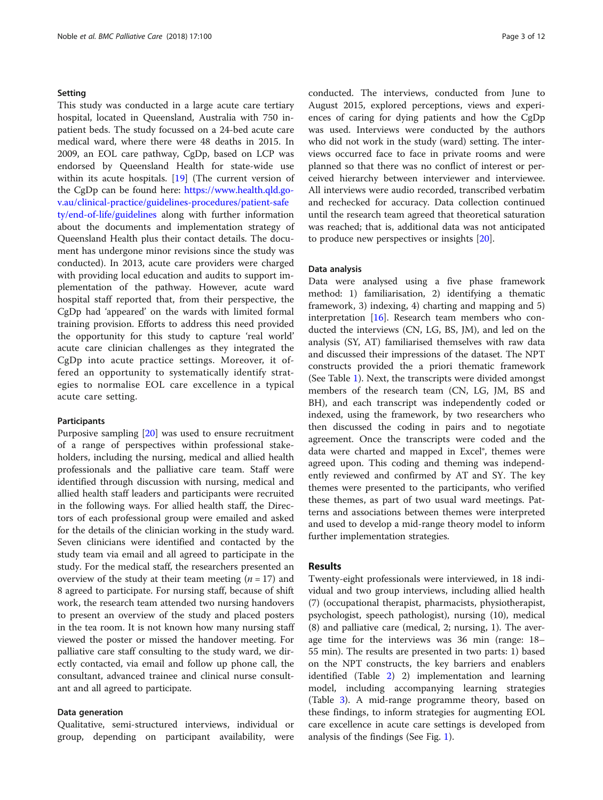#### Setting

This study was conducted in a large acute care tertiary hospital, located in Queensland, Australia with 750 inpatient beds. The study focussed on a 24-bed acute care medical ward, where there were 48 deaths in 2015. In 2009, an EOL care pathway, CgDp, based on LCP was endorsed by Queensland Health for state-wide use within its acute hospitals. [[19\]](#page-11-0) (The current version of the CgDp can be found here: [https://www.health.qld.go](https://www.health.qld.gov.au/clinical-practice/guidelines-procedures/patient-safety/end-of-life/guidelines)[v.au/clinical-practice/guidelines-procedures/patient-safe](https://www.health.qld.gov.au/clinical-practice/guidelines-procedures/patient-safety/end-of-life/guidelines) [ty/end-of-life/guidelines](https://www.health.qld.gov.au/clinical-practice/guidelines-procedures/patient-safety/end-of-life/guidelines) along with further information about the documents and implementation strategy of Queensland Health plus their contact details. The document has undergone minor revisions since the study was conducted). In 2013, acute care providers were charged with providing local education and audits to support implementation of the pathway. However, acute ward hospital staff reported that, from their perspective, the CgDp had 'appeared' on the wards with limited formal training provision. Efforts to address this need provided the opportunity for this study to capture 'real world' acute care clinician challenges as they integrated the CgDp into acute practice settings. Moreover, it offered an opportunity to systematically identify strategies to normalise EOL care excellence in a typical acute care setting.

#### Participants

Purposive sampling [\[20](#page-11-0)] was used to ensure recruitment of a range of perspectives within professional stakeholders, including the nursing, medical and allied health professionals and the palliative care team. Staff were identified through discussion with nursing, medical and allied health staff leaders and participants were recruited in the following ways. For allied health staff, the Directors of each professional group were emailed and asked for the details of the clinician working in the study ward. Seven clinicians were identified and contacted by the study team via email and all agreed to participate in the study. For the medical staff, the researchers presented an overview of the study at their team meeting ( $n = 17$ ) and 8 agreed to participate. For nursing staff, because of shift work, the research team attended two nursing handovers to present an overview of the study and placed posters in the tea room. It is not known how many nursing staff viewed the poster or missed the handover meeting. For palliative care staff consulting to the study ward, we directly contacted, via email and follow up phone call, the consultant, advanced trainee and clinical nurse consultant and all agreed to participate.

#### Data generation

Qualitative, semi-structured interviews, individual or group, depending on participant availability, were

conducted. The interviews, conducted from June to August 2015, explored perceptions, views and experiences of caring for dying patients and how the CgDp was used. Interviews were conducted by the authors who did not work in the study (ward) setting. The interviews occurred face to face in private rooms and were planned so that there was no conflict of interest or perceived hierarchy between interviewer and interviewee. All interviews were audio recorded, transcribed verbatim and rechecked for accuracy. Data collection continued until the research team agreed that theoretical saturation was reached; that is, additional data was not anticipated to produce new perspectives or insights [[20](#page-11-0)].

# Data analysis

Data were analysed using a five phase framework method: 1) familiarisation, 2) identifying a thematic framework, 3) indexing, 4) charting and mapping and 5) interpretation [\[16\]](#page-11-0). Research team members who conducted the interviews (CN, LG, BS, JM), and led on the analysis (SY, AT) familiarised themselves with raw data and discussed their impressions of the dataset. The NPT constructs provided the a priori thematic framework (See Table [1\)](#page-1-0). Next, the transcripts were divided amongst members of the research team (CN, LG, JM, BS and BH), and each transcript was independently coded or indexed, using the framework, by two researchers who then discussed the coding in pairs and to negotiate agreement. Once the transcripts were coded and the data were charted and mapped in Excel®, themes were agreed upon. This coding and theming was independently reviewed and confirmed by AT and SY. The key themes were presented to the participants, who verified these themes, as part of two usual ward meetings. Patterns and associations between themes were interpreted and used to develop a mid-range theory model to inform further implementation strategies.

# Results

Twenty-eight professionals were interviewed, in 18 individual and two group interviews, including allied health (7) (occupational therapist, pharmacists, physiotherapist, psychologist, speech pathologist), nursing (10), medical (8) and palliative care (medical, 2; nursing, 1). The average time for the interviews was 36 min (range: 18– 55 min). The results are presented in two parts: 1) based on the NPT constructs, the key barriers and enablers identified (Table [2](#page-3-0)) 2) implementation and learning model, including accompanying learning strategies (Table [3\)](#page-4-0). A mid-range programme theory, based on these findings, to inform strategies for augmenting EOL care excellence in acute care settings is developed from analysis of the findings (See Fig. [1](#page-5-0)).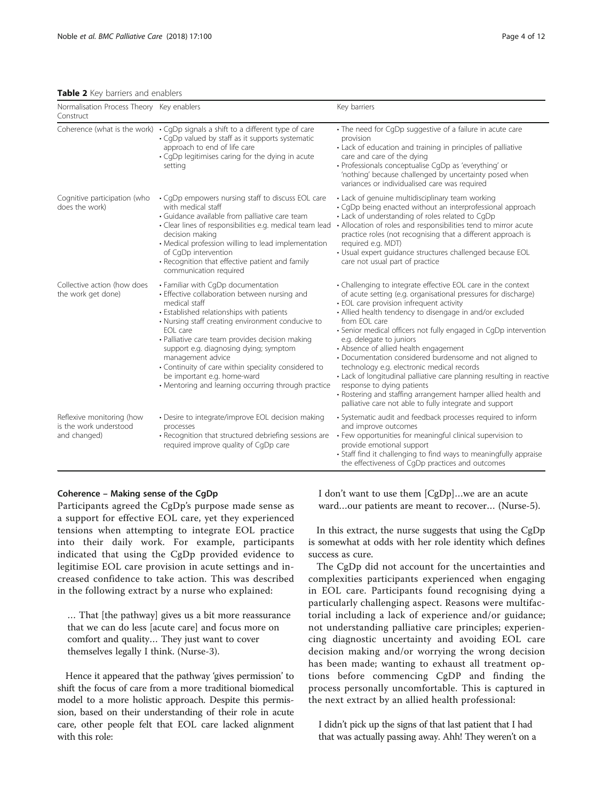<span id="page-3-0"></span>Table 2 Key barriers and enablers

| Normalisation Process Theory Key enablers<br>Construct              |                                                                                                                                                                                                                                                                                                                                                                                                                                                                                    | Key barriers                                                                                                                                                                                                                                                                                                                                                                                                                                                                                                                                                                                                                                                                                                                                  |
|---------------------------------------------------------------------|------------------------------------------------------------------------------------------------------------------------------------------------------------------------------------------------------------------------------------------------------------------------------------------------------------------------------------------------------------------------------------------------------------------------------------------------------------------------------------|-----------------------------------------------------------------------------------------------------------------------------------------------------------------------------------------------------------------------------------------------------------------------------------------------------------------------------------------------------------------------------------------------------------------------------------------------------------------------------------------------------------------------------------------------------------------------------------------------------------------------------------------------------------------------------------------------------------------------------------------------|
|                                                                     | Coherence (what is the work) $\cdot$ CqDp signals a shift to a different type of care<br>• CgDp valued by staff as it supports systematic<br>approach to end of life care<br>• CqDp legitimises caring for the dying in acute<br>setting                                                                                                                                                                                                                                           | • The need for CqDp suggestive of a failure in acute care<br>provision<br>• Lack of education and training in principles of palliative<br>care and care of the dying<br>· Professionals conceptualise CgDp as 'everything' or<br>'nothing' because challenged by uncertainty posed when<br>variances or individualised care was required                                                                                                                                                                                                                                                                                                                                                                                                      |
| Cognitive participation (who<br>does the work)                      | • CqDp empowers nursing staff to discuss EOL care<br>with medical staff<br>• Guidance available from palliative care team<br>· Clear lines of responsibilities e.g. medical team lead<br>decision making<br>• Medical profession willing to lead implementation<br>of CqDp intervention<br>· Recognition that effective patient and family<br>communication required                                                                                                               | • Lack of genuine multidisciplinary team working<br>• CqDp being enacted without an interprofessional approach<br>• Lack of understanding of roles related to CgDp<br>• Allocation of roles and responsibilities tend to mirror acute<br>practice roles (not recognising that a different approach is<br>required e.g. MDT)<br>· Usual expert guidance structures challenged because EOL<br>care not usual part of practice                                                                                                                                                                                                                                                                                                                   |
| Collective action (how does<br>the work get done)                   | • Familiar with CgDp documentation<br>• Effective collaboration between nursing and<br>medical staff<br>• Established relationships with patients<br>• Nursing staff creating environment conducive to<br>EOL care<br>· Palliative care team provides decision making<br>support e.g. diagnosing dying; symptom<br>management advice<br>• Continuity of care within speciality considered to<br>be important e.g. home-ward<br>• Mentoring and learning occurring through practice | • Challenging to integrate effective EOL care in the context<br>of acute setting (e.g. organisational pressures for discharge)<br>• EOL care provision infrequent activity<br>• Allied health tendency to disengage in and/or excluded<br>from EOL care<br>· Senior medical officers not fully engaged in CgDp intervention<br>e.g. delegate to juniors<br>• Absence of allied health engagement<br>• Documentation considered burdensome and not aligned to<br>technology e.g. electronic medical records<br>• Lack of longitudinal palliative care planning resulting in reactive<br>response to dying patients<br>• Rostering and staffing arrangement hamper allied health and<br>palliative care not able to fully integrate and support |
| Reflexive monitoring (how<br>is the work understood<br>and changed) | • Desire to integrate/improve EOL decision making<br>processes<br>• Recognition that structured debriefing sessions are<br>required improve quality of CgDp care                                                                                                                                                                                                                                                                                                                   | • Systematic audit and feedback processes required to inform<br>and improve outcomes<br>• Few opportunities for meaningful clinical supervision to<br>provide emotional support<br>• Staff find it challenging to find ways to meaningfully appraise<br>the effectiveness of CgDp practices and outcomes                                                                                                                                                                                                                                                                                                                                                                                                                                      |

# Coherence – Making sense of the CgDp

Participants agreed the CgDp's purpose made sense as a support for effective EOL care, yet they experienced tensions when attempting to integrate EOL practice into their daily work. For example, participants indicated that using the CgDp provided evidence to legitimise EOL care provision in acute settings and increased confidence to take action. This was described in the following extract by a nurse who explained:

… That [the pathway] gives us a bit more reassurance that we can do less [acute care] and focus more on comfort and quality… They just want to cover themselves legally I think. (Nurse-3).

Hence it appeared that the pathway 'gives permission' to shift the focus of care from a more traditional biomedical model to a more holistic approach. Despite this permission, based on their understanding of their role in acute care, other people felt that EOL care lacked alignment with this role:

I don't want to use them [CgDp]…we are an acute ward…our patients are meant to recover… (Nurse-5).

In this extract, the nurse suggests that using the CgDp is somewhat at odds with her role identity which defines success as cure.

The CgDp did not account for the uncertainties and complexities participants experienced when engaging in EOL care. Participants found recognising dying a particularly challenging aspect. Reasons were multifactorial including a lack of experience and/or guidance; not understanding palliative care principles; experiencing diagnostic uncertainty and avoiding EOL care decision making and/or worrying the wrong decision has been made; wanting to exhaust all treatment options before commencing CgDP and finding the process personally uncomfortable. This is captured in the next extract by an allied health professional:

I didn't pick up the signs of that last patient that I had that was actually passing away. Ahh! They weren't on a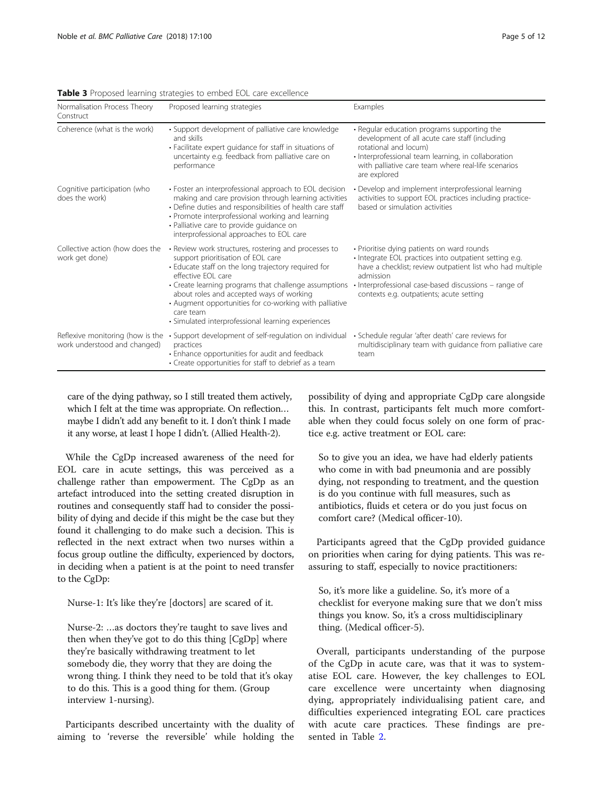| Normalisation Process Theory<br>Construct                        | Proposed learning strategies                                                                                                                                                                                                                                                                                                                                                                              | Examples                                                                                                                                                                                                                                                                            |
|------------------------------------------------------------------|-----------------------------------------------------------------------------------------------------------------------------------------------------------------------------------------------------------------------------------------------------------------------------------------------------------------------------------------------------------------------------------------------------------|-------------------------------------------------------------------------------------------------------------------------------------------------------------------------------------------------------------------------------------------------------------------------------------|
| Coherence (what is the work)                                     | • Support development of palliative care knowledge<br>and skills<br>• Facilitate expert quidance for staff in situations of<br>uncertainty e.g. feedback from palliative care on<br>performance                                                                                                                                                                                                           | • Regular education programs supporting the<br>development of all acute care staff (including<br>rotational and locum)<br>· Interprofessional team learning, in collaboration<br>with palliative care team where real-life scenarios<br>are explored                                |
| Cognitive participation (who<br>does the work)                   | • Foster an interprofessional approach to EOL decision<br>making and care provision through learning activities<br>• Define duties and responsibilities of health care staff<br>• Promote interprofessional working and learning<br>· Palliative care to provide guidance on<br>interprofessional approaches to EOL care                                                                                  | • Develop and implement interprofessional learning<br>activities to support EOL practices including practice-<br>based or simulation activities                                                                                                                                     |
| Collective action (how does the<br>work get done)                | • Review work structures, rostering and processes to<br>support prioritisation of EOL care<br>• Educate staff on the long trajectory required for<br>effective FOI care<br>• Create learning programs that challenge assumptions<br>about roles and accepted ways of working<br>• Augment opportunities for co-working with palliative<br>care team<br>• Simulated interprofessional learning experiences | · Prioritise dying patients on ward rounds<br>· Integrate EOL practices into outpatient setting e.g.<br>have a checklist; review outpatient list who had multiple<br>admission<br>• Interprofessional case-based discussions – range of<br>contexts e.g. outpatients; acute setting |
| Reflexive monitoring (how is the<br>work understood and changed) | • Support development of self-regulation on individual<br>practices<br>• Enhance opportunities for audit and feedback<br>• Create opportunities for staff to debrief as a team                                                                                                                                                                                                                            | · Schedule regular 'after death' care reviews for<br>multidisciplinary team with guidance from palliative care<br>team                                                                                                                                                              |

<span id="page-4-0"></span>Table 3 Proposed learning strategies to embed EOL care excellence

care of the dying pathway, so I still treated them actively, which I felt at the time was appropriate. On reflection… maybe I didn't add any benefit to it. I don't think I made it any worse, at least I hope I didn't. (Allied Health-2).

While the CgDp increased awareness of the need for EOL care in acute settings, this was perceived as a challenge rather than empowerment. The CgDp as an artefact introduced into the setting created disruption in routines and consequently staff had to consider the possibility of dying and decide if this might be the case but they found it challenging to do make such a decision. This is reflected in the next extract when two nurses within a focus group outline the difficulty, experienced by doctors, in deciding when a patient is at the point to need transfer to the CgDp:

Nurse-1: It's like they're [doctors] are scared of it.

Nurse-2: …as doctors they're taught to save lives and then when they've got to do this thing [CgDp] where they're basically withdrawing treatment to let somebody die, they worry that they are doing the wrong thing. I think they need to be told that it's okay to do this. This is a good thing for them. (Group interview 1-nursing).

Participants described uncertainty with the duality of aiming to 'reverse the reversible' while holding the possibility of dying and appropriate CgDp care alongside this. In contrast, participants felt much more comfortable when they could focus solely on one form of practice e.g. active treatment or EOL care:

So to give you an idea, we have had elderly patients who come in with bad pneumonia and are possibly dying, not responding to treatment, and the question is do you continue with full measures, such as antibiotics, fluids et cetera or do you just focus on comfort care? (Medical officer-10).

Participants agreed that the CgDp provided guidance on priorities when caring for dying patients. This was reassuring to staff, especially to novice practitioners:

So, it's more like a guideline. So, it's more of a checklist for everyone making sure that we don't miss things you know. So, it's a cross multidisciplinary thing. (Medical officer-5).

Overall, participants understanding of the purpose of the CgDp in acute care, was that it was to systematise EOL care. However, the key challenges to EOL care excellence were uncertainty when diagnosing dying, appropriately individualising patient care, and difficulties experienced integrating EOL care practices with acute care practices. These findings are presented in Table [2](#page-3-0).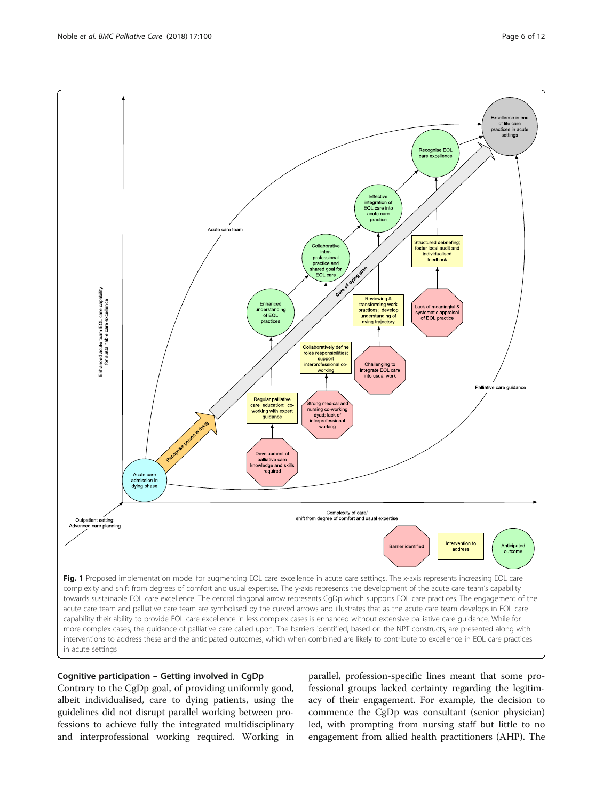<span id="page-5-0"></span>

# Cognitive participation – Getting involved in CgDp

Contrary to the CgDp goal, of providing uniformly good, albeit individualised, care to dying patients, using the guidelines did not disrupt parallel working between professions to achieve fully the integrated multidisciplinary and interprofessional working required. Working in

parallel, profession-specific lines meant that some professional groups lacked certainty regarding the legitimacy of their engagement. For example, the decision to commence the CgDp was consultant (senior physician) led, with prompting from nursing staff but little to no engagement from allied health practitioners (AHP). The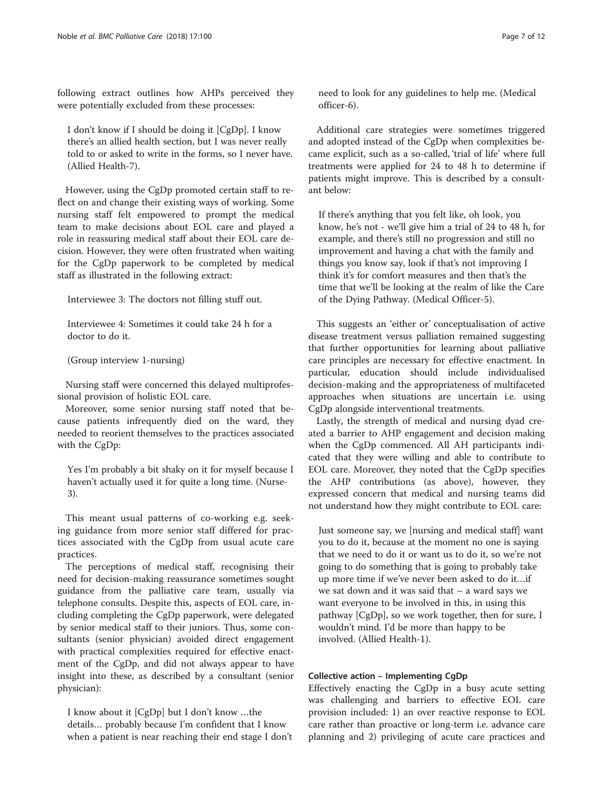following extract outlines how AHPs perceived they were potentially excluded from these processes:

I don't know if I should be doing it [CgDp]. I know there's an allied health section, but I was never really told to or asked to write in the forms, so I never have. (Allied Health-7).

However, using the CgDp promoted certain staff to reflect on and change their existing ways of working. Some nursing staff felt empowered to prompt the medical team to make decisions about EOL care and played a role in reassuring medical staff about their EOL care decision. However, they were often frustrated when waiting for the CgDp paperwork to be completed by medical staff as illustrated in the following extract:

Interviewee 3: The doctors not filling stuff out.

Interviewee 4: Sometimes it could take 24 h for a doctor to do it.

(Group interview 1-nursing)

Nursing staff were concerned this delayed multiprofessional provision of holistic EOL care.

Moreover, some senior nursing staff noted that because patients infrequently died on the ward, they needed to reorient themselves to the practices associated with the CgDp:

Yes I'm probably a bit shaky on it for myself because I haven't actually used it for quite a long time. (Nurse-3).

This meant usual patterns of co-working e.g. seeking guidance from more senior staff differed for practices associated with the CgDp from usual acute care practices.

The perceptions of medical staff, recognising their need for decision-making reassurance sometimes sought guidance from the palliative care team, usually via telephone consults. Despite this, aspects of EOL care, including completing the CgDp paperwork, were delegated by senior medical staff to their juniors. Thus, some consultants (senior physician) avoided direct engagement with practical complexities required for effective enactment of the CgDp, and did not always appear to have insight into these, as described by a consultant (senior physician):

I know about it [CgDp] but I don't know …the details… probably because I'm confident that I know when a patient is near reaching their end stage I don't need to look for any guidelines to help me. (Medical officer-6).

Additional care strategies were sometimes triggered and adopted instead of the CgDp when complexities became explicit, such as a so-called, 'trial of life' where full treatments were applied for 24 to 48 h to determine if patients might improve. This is described by a consultant below:

If there's anything that you felt like, oh look, you know, he's not - we'll give him a trial of 24 to 48 h, for example, and there's still no progression and still no improvement and having a chat with the family and things you know say, look if that's not improving I think it's for comfort measures and then that's the time that we'll be looking at the realm of like the Care of the Dying Pathway. (Medical Officer-5).

This suggests an 'either or' conceptualisation of active disease treatment versus palliation remained suggesting that further opportunities for learning about palliative care principles are necessary for effective enactment. In particular, education should include individualised decision-making and the appropriateness of multifaceted approaches when situations are uncertain i.e. using CgDp alongside interventional treatments.

Lastly, the strength of medical and nursing dyad created a barrier to AHP engagement and decision making when the CgDp commenced. All AH participants indicated that they were willing and able to contribute to EOL care. Moreover, they noted that the CgDp specifies the AHP contributions (as above), however, they expressed concern that medical and nursing teams did not understand how they might contribute to EOL care:

Just someone say, we [nursing and medical staff] want you to do it, because at the moment no one is saying that we need to do it or want us to do it, so we're not going to do something that is going to probably take up more time if we've never been asked to do it…if we sat down and it was said that – a ward says we want everyone to be involved in this, in using this pathway [CgDp], so we work together, then for sure, I wouldn't mind. I'd be more than happy to be involved. (Allied Health-1).

# Collective action – Implementing CgDp

Effectively enacting the CgDp in a busy acute setting was challenging and barriers to effective EOL care provision included: 1) an over reactive response to EOL care rather than proactive or long-term i.e. advance care planning and 2) privileging of acute care practices and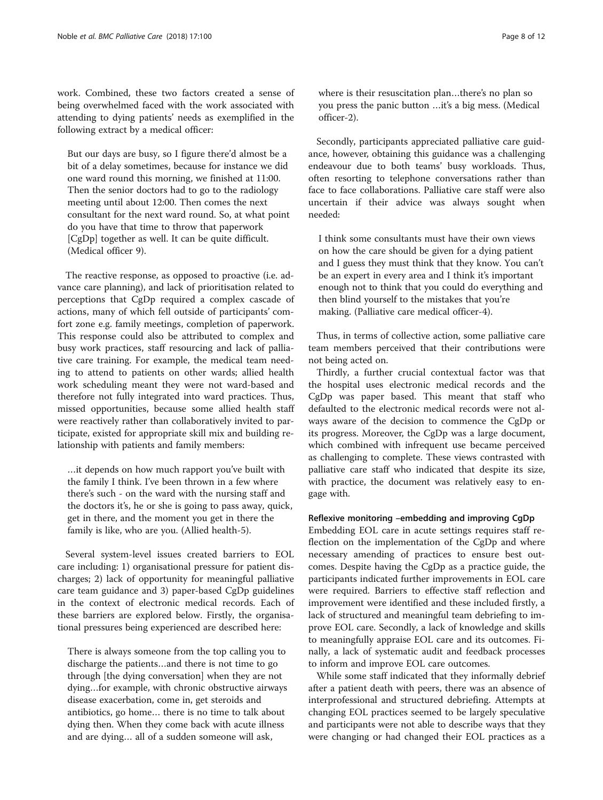work. Combined, these two factors created a sense of being overwhelmed faced with the work associated with attending to dying patients' needs as exemplified in the following extract by a medical officer:

But our days are busy, so I figure there'd almost be a bit of a delay sometimes, because for instance we did one ward round this morning, we finished at 11:00. Then the senior doctors had to go to the radiology meeting until about 12:00. Then comes the next consultant for the next ward round. So, at what point do you have that time to throw that paperwork [CgDp] together as well. It can be quite difficult. (Medical officer 9).

The reactive response, as opposed to proactive (i.e. advance care planning), and lack of prioritisation related to perceptions that CgDp required a complex cascade of actions, many of which fell outside of participants' comfort zone e.g. family meetings, completion of paperwork. This response could also be attributed to complex and busy work practices, staff resourcing and lack of palliative care training. For example, the medical team needing to attend to patients on other wards; allied health work scheduling meant they were not ward-based and therefore not fully integrated into ward practices. Thus, missed opportunities, because some allied health staff were reactively rather than collaboratively invited to participate, existed for appropriate skill mix and building relationship with patients and family members:

…it depends on how much rapport you've built with the family I think. I've been thrown in a few where there's such - on the ward with the nursing staff and the doctors it's, he or she is going to pass away, quick, get in there, and the moment you get in there the family is like, who are you. (Allied health-5).

Several system-level issues created barriers to EOL care including: 1) organisational pressure for patient discharges; 2) lack of opportunity for meaningful palliative care team guidance and 3) paper-based CgDp guidelines in the context of electronic medical records. Each of these barriers are explored below. Firstly, the organisational pressures being experienced are described here:

There is always someone from the top calling you to discharge the patients…and there is not time to go through [the dying conversation] when they are not dying…for example, with chronic obstructive airways disease exacerbation, come in, get steroids and antibiotics, go home… there is no time to talk about dying then. When they come back with acute illness and are dying… all of a sudden someone will ask,

where is their resuscitation plan…there's no plan so you press the panic button …it's a big mess. (Medical officer-2).

Secondly, participants appreciated palliative care guidance, however, obtaining this guidance was a challenging endeavour due to both teams' busy workloads. Thus, often resorting to telephone conversations rather than face to face collaborations. Palliative care staff were also uncertain if their advice was always sought when needed:

I think some consultants must have their own views on how the care should be given for a dying patient and I guess they must think that they know. You can't be an expert in every area and I think it's important enough not to think that you could do everything and then blind yourself to the mistakes that you're making. (Palliative care medical officer-4).

Thus, in terms of collective action, some palliative care team members perceived that their contributions were not being acted on.

Thirdly, a further crucial contextual factor was that the hospital uses electronic medical records and the CgDp was paper based. This meant that staff who defaulted to the electronic medical records were not always aware of the decision to commence the CgDp or its progress. Moreover, the CgDp was a large document, which combined with infrequent use became perceived as challenging to complete. These views contrasted with palliative care staff who indicated that despite its size, with practice, the document was relatively easy to engage with.

# Reflexive monitoring –embedding and improving CgDp

Embedding EOL care in acute settings requires staff reflection on the implementation of the CgDp and where necessary amending of practices to ensure best outcomes. Despite having the CgDp as a practice guide, the participants indicated further improvements in EOL care were required. Barriers to effective staff reflection and improvement were identified and these included firstly, a lack of structured and meaningful team debriefing to improve EOL care. Secondly, a lack of knowledge and skills to meaningfully appraise EOL care and its outcomes. Finally, a lack of systematic audit and feedback processes to inform and improve EOL care outcomes.

While some staff indicated that they informally debrief after a patient death with peers, there was an absence of interprofessional and structured debriefing. Attempts at changing EOL practices seemed to be largely speculative and participants were not able to describe ways that they were changing or had changed their EOL practices as a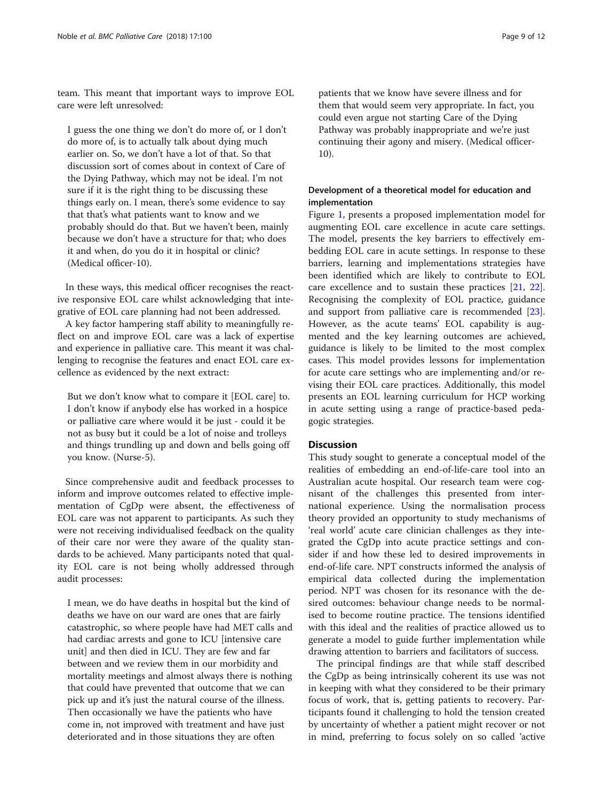team. This meant that important ways to improve EOL care were left unresolved:

I guess the one thing we don't do more of, or I don't do more of, is to actually talk about dying much earlier on. So, we don't have a lot of that. So that discussion sort of comes about in context of Care of the Dying Pathway, which may not be ideal. I'm not sure if it is the right thing to be discussing these things early on. I mean, there's some evidence to say that that's what patients want to know and we probably should do that. But we haven't been, mainly because we don't have a structure for that; who does it and when, do you do it in hospital or clinic? (Medical officer-10).

In these ways, this medical officer recognises the reactive responsive EOL care whilst acknowledging that integrative of EOL care planning had not been addressed.

A key factor hampering staff ability to meaningfully reflect on and improve EOL care was a lack of expertise and experience in palliative care. This meant it was challenging to recognise the features and enact EOL care excellence as evidenced by the next extract:

But we don't know what to compare it [EOL care] to. I don't know if anybody else has worked in a hospice or palliative care where would it be just - could it be not as busy but it could be a lot of noise and trolleys and things trundling up and down and bells going off you know. (Nurse-5).

Since comprehensive audit and feedback processes to inform and improve outcomes related to effective implementation of CgDp were absent, the effectiveness of EOL care was not apparent to participants. As such they were not receiving individualised feedback on the quality of their care nor were they aware of the quality standards to be achieved. Many participants noted that quality EOL care is not being wholly addressed through audit processes:

I mean, we do have deaths in hospital but the kind of deaths we have on our ward are ones that are fairly catastrophic, so where people have had MET calls and had cardiac arrests and gone to ICU [intensive care unit] and then died in ICU. They are few and far between and we review them in our morbidity and mortality meetings and almost always there is nothing that could have prevented that outcome that we can pick up and it's just the natural course of the illness. Then occasionally we have the patients who have come in, not improved with treatment and have just deteriorated and in those situations they are often

patients that we know have severe illness and for

them that would seem very appropriate. In fact, you could even argue not starting Care of the Dying Pathway was probably inappropriate and we're just continuing their agony and misery. (Medical officer-10).

# Development of a theoretical model for education and implementation

Figure [1,](#page-5-0) presents a proposed implementation model for augmenting EOL care excellence in acute care settings. The model, presents the key barriers to effectively embedding EOL care in acute settings. In response to these barriers, learning and implementations strategies have been identified which are likely to contribute to EOL care excellence and to sustain these practices [[21,](#page-11-0) [22](#page-11-0)]. Recognising the complexity of EOL practice, guidance and support from palliative care is recommended [\[23](#page-11-0)]. However, as the acute teams' EOL capability is augmented and the key learning outcomes are achieved, guidance is likely to be limited to the most complex cases. This model provides lessons for implementation for acute care settings who are implementing and/or revising their EOL care practices. Additionally, this model presents an EOL learning curriculum for HCP working in acute setting using a range of practice-based pedagogic strategies.

## **Discussion**

This study sought to generate a conceptual model of the realities of embedding an end-of-life-care tool into an Australian acute hospital. Our research team were cognisant of the challenges this presented from international experience. Using the normalisation process theory provided an opportunity to study mechanisms of 'real world' acute care clinician challenges as they integrated the CgDp into acute practice settings and consider if and how these led to desired improvements in end-of-life care. NPT constructs informed the analysis of empirical data collected during the implementation period. NPT was chosen for its resonance with the desired outcomes: behaviour change needs to be normalised to become routine practice. The tensions identified with this ideal and the realities of practice allowed us to generate a model to guide further implementation while drawing attention to barriers and facilitators of success.

The principal findings are that while staff described the CgDp as being intrinsically coherent its use was not in keeping with what they considered to be their primary focus of work, that is, getting patients to recovery. Participants found it challenging to hold the tension created by uncertainty of whether a patient might recover or not in mind, preferring to focus solely on so called 'active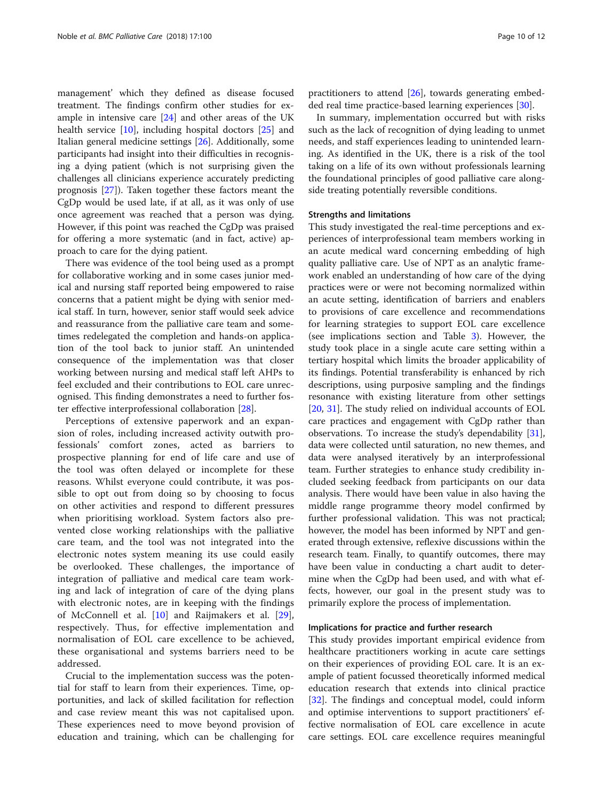management' which they defined as disease focused treatment. The findings confirm other studies for example in intensive care [[24](#page-11-0)] and other areas of the UK health service [[10\]](#page-11-0), including hospital doctors [\[25\]](#page-11-0) and Italian general medicine settings [[26](#page-11-0)]. Additionally, some participants had insight into their difficulties in recognising a dying patient (which is not surprising given the challenges all clinicians experience accurately predicting prognosis [\[27\]](#page-11-0)). Taken together these factors meant the CgDp would be used late, if at all, as it was only of use once agreement was reached that a person was dying. However, if this point was reached the CgDp was praised for offering a more systematic (and in fact, active) approach to care for the dying patient.

There was evidence of the tool being used as a prompt for collaborative working and in some cases junior medical and nursing staff reported being empowered to raise concerns that a patient might be dying with senior medical staff. In turn, however, senior staff would seek advice and reassurance from the palliative care team and sometimes redelegated the completion and hands-on application of the tool back to junior staff. An unintended consequence of the implementation was that closer working between nursing and medical staff left AHPs to feel excluded and their contributions to EOL care unrecognised. This finding demonstrates a need to further foster effective interprofessional collaboration [\[28](#page-11-0)].

Perceptions of extensive paperwork and an expansion of roles, including increased activity outwith professionals' comfort zones, acted as barriers to prospective planning for end of life care and use of the tool was often delayed or incomplete for these reasons. Whilst everyone could contribute, it was possible to opt out from doing so by choosing to focus on other activities and respond to different pressures when prioritising workload. System factors also prevented close working relationships with the palliative care team, and the tool was not integrated into the electronic notes system meaning its use could easily be overlooked. These challenges, the importance of integration of palliative and medical care team working and lack of integration of care of the dying plans with electronic notes, are in keeping with the findings of McConnell et al. [\[10](#page-11-0)] and Raijmakers et al. [\[29](#page-11-0)], respectively. Thus, for effective implementation and normalisation of EOL care excellence to be achieved, these organisational and systems barriers need to be addressed.

Crucial to the implementation success was the potential for staff to learn from their experiences. Time, opportunities, and lack of skilled facilitation for reflection and case review meant this was not capitalised upon. These experiences need to move beyond provision of education and training, which can be challenging for

practitioners to attend [\[26](#page-11-0)], towards generating embedded real time practice-based learning experiences [\[30\]](#page-11-0).

In summary, implementation occurred but with risks such as the lack of recognition of dying leading to unmet needs, and staff experiences leading to unintended learning. As identified in the UK, there is a risk of the tool taking on a life of its own without professionals learning the foundational principles of good palliative care alongside treating potentially reversible conditions.

#### Strengths and limitations

This study investigated the real-time perceptions and experiences of interprofessional team members working in an acute medical ward concerning embedding of high quality palliative care. Use of NPT as an analytic framework enabled an understanding of how care of the dying practices were or were not becoming normalized within an acute setting, identification of barriers and enablers to provisions of care excellence and recommendations for learning strategies to support EOL care excellence (see implications section and Table [3\)](#page-4-0). However, the study took place in a single acute care setting within a tertiary hospital which limits the broader applicability of its findings. Potential transferability is enhanced by rich descriptions, using purposive sampling and the findings resonance with existing literature from other settings [[20,](#page-11-0) [31\]](#page-11-0). The study relied on individual accounts of EOL care practices and engagement with CgDp rather than observations. To increase the study's dependability [\[31](#page-11-0)], data were collected until saturation, no new themes, and data were analysed iteratively by an interprofessional team. Further strategies to enhance study credibility included seeking feedback from participants on our data analysis. There would have been value in also having the middle range programme theory model confirmed by further professional validation. This was not practical; however, the model has been informed by NPT and generated through extensive, reflexive discussions within the research team. Finally, to quantify outcomes, there may have been value in conducting a chart audit to determine when the CgDp had been used, and with what effects, however, our goal in the present study was to primarily explore the process of implementation.

#### Implications for practice and further research

This study provides important empirical evidence from healthcare practitioners working in acute care settings on their experiences of providing EOL care. It is an example of patient focussed theoretically informed medical education research that extends into clinical practice [[32\]](#page-11-0). The findings and conceptual model, could inform and optimise interventions to support practitioners' effective normalisation of EOL care excellence in acute care settings. EOL care excellence requires meaningful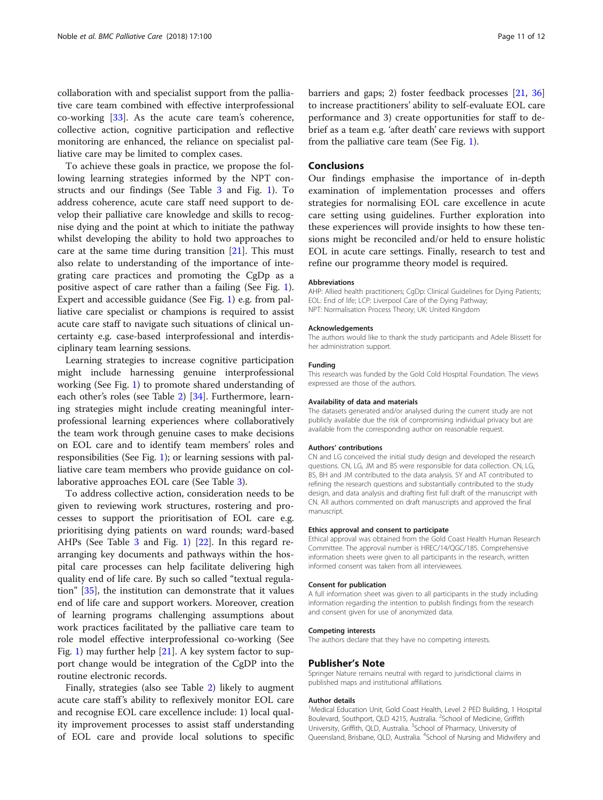collaboration with and specialist support from the palliative care team combined with effective interprofessional co-working [[33](#page-11-0)]. As the acute care team's coherence, collective action, cognitive participation and reflective monitoring are enhanced, the reliance on specialist palliative care may be limited to complex cases.

To achieve these goals in practice, we propose the following learning strategies informed by the NPT constructs and our findings (See Table [3](#page-4-0) and Fig. [1\)](#page-5-0). To address coherence, acute care staff need support to develop their palliative care knowledge and skills to recognise dying and the point at which to initiate the pathway whilst developing the ability to hold two approaches to care at the same time during transition  $[21]$  $[21]$ . This must also relate to understanding of the importance of integrating care practices and promoting the CgDp as a positive aspect of care rather than a failing (See Fig. [1](#page-5-0)). Expert and accessible guidance (See Fig. [1](#page-5-0)) e.g. from palliative care specialist or champions is required to assist acute care staff to navigate such situations of clinical uncertainty e.g. case-based interprofessional and interdisciplinary team learning sessions.

Learning strategies to increase cognitive participation might include harnessing genuine interprofessional working (See Fig. [1](#page-5-0)) to promote shared understanding of each other's roles (see Table [2\)](#page-3-0) [\[34](#page-11-0)]. Furthermore, learning strategies might include creating meaningful interprofessional learning experiences where collaboratively the team work through genuine cases to make decisions on EOL care and to identify team members' roles and responsibilities (See Fig. [1](#page-5-0)); or learning sessions with palliative care team members who provide guidance on collaborative approaches EOL care (See Table [3](#page-4-0)).

To address collective action, consideration needs to be given to reviewing work structures, rostering and processes to support the prioritisation of EOL care e.g. prioritising dying patients on ward rounds; ward-based AHPs (See Table [3](#page-4-0) and Fig. [1](#page-5-0)) [\[22\]](#page-11-0). In this regard rearranging key documents and pathways within the hospital care processes can help facilitate delivering high quality end of life care. By such so called "textual regulation" [\[35](#page-11-0)], the institution can demonstrate that it values end of life care and support workers. Moreover, creation of learning programs challenging assumptions about work practices facilitated by the palliative care team to role model effective interprofessional co-working (See Fig. [1](#page-5-0)) may further help  $[21]$  $[21]$ . A key system factor to support change would be integration of the CgDP into the routine electronic records.

Finally, strategies (also see Table [2](#page-3-0)) likely to augment acute care staff's ability to reflexively monitor EOL care and recognise EOL care excellence include: 1) local quality improvement processes to assist staff understanding of EOL care and provide local solutions to specific barriers and gaps; 2) foster feedback processes [\[21](#page-11-0), [36](#page-11-0)] to increase practitioners' ability to self-evaluate EOL care performance and 3) create opportunities for staff to debrief as a team e.g. 'after death' care reviews with support from the palliative care team (See Fig. [1\)](#page-5-0).

# **Conclusions**

Our findings emphasise the importance of in-depth examination of implementation processes and offers strategies for normalising EOL care excellence in acute care setting using guidelines. Further exploration into these experiences will provide insights to how these tensions might be reconciled and/or held to ensure holistic EOL in acute care settings. Finally, research to test and refine our programme theory model is required.

#### Abbreviations

AHP: Allied health practitioners; CgDp: Clinical Guidelines for Dying Patients; EOL: End of life; LCP: Liverpool Care of the Dying Pathway; NPT: Normalisation Process Theory; UK: United Kingdom

#### Acknowledgements

The authors would like to thank the study participants and Adele Blissett for her administration support.

#### Funding

This research was funded by the Gold Cold Hospital Foundation. The views expressed are those of the authors.

#### Availability of data and materials

The datasets generated and/or analysed during the current study are not publicly available due the risk of compromising individual privacy but are available from the corresponding author on reasonable request.

#### Authors' contributions

CN and LG conceived the initial study design and developed the research questions. CN, LG, JM and BS were responsible for data collection. CN, LG, BS, BH and JM contributed to the data analysis. SY and AT contributed to refining the research questions and substantially contributed to the study design, and data analysis and drafting first full draft of the manuscript with CN. All authors commented on draft manuscripts and approved the final manuscript.

#### Ethics approval and consent to participate

Ethical approval was obtained from the Gold Coast Health Human Research Committee. The approval number is HREC/14/QGC/185. Comprehensive information sheets were given to all participants in the research, written informed consent was taken from all interviewees.

#### Consent for publication

A full information sheet was given to all participants in the study including information regarding the intention to publish findings from the research and consent given for use of anonymized data.

#### Competing interests

The authors declare that they have no competing interests.

#### Publisher's Note

Springer Nature remains neutral with regard to jurisdictional claims in published maps and institutional affiliations.

#### Author details

<sup>1</sup>Medical Education Unit, Gold Coast Health, Level 2 PED Building, 1 Hospital Boulevard, Southport, QLD 4215, Australia. <sup>2</sup>School of Medicine, Griffith University, Griffith, QLD, Australia. <sup>3</sup>School of Pharmacy, University of Queensland, Brisbane, QLD, Australia. <sup>4</sup>School of Nursing and Midwifery and